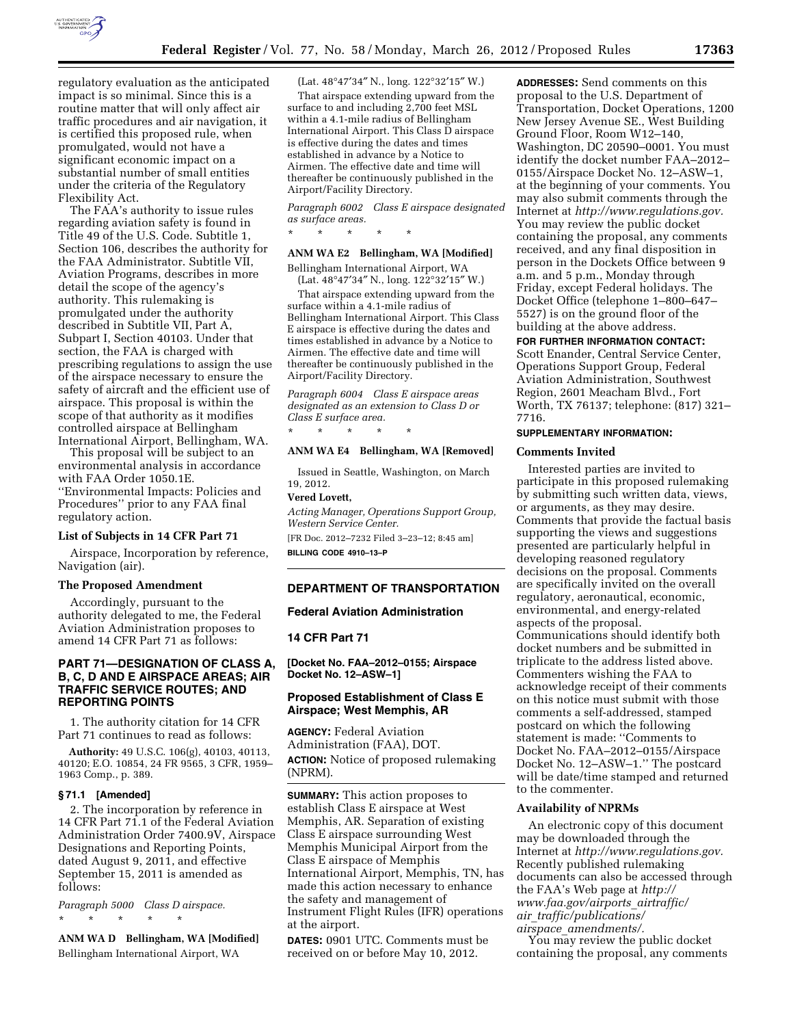

regulatory evaluation as the anticipated impact is so minimal. Since this is a routine matter that will only affect air traffic procedures and air navigation, it is certified this proposed rule, when promulgated, would not have a significant economic impact on a substantial number of small entities under the criteria of the Regulatory Flexibility Act.

The FAA's authority to issue rules regarding aviation safety is found in Title 49 of the U.S. Code. Subtitle 1, Section 106, describes the authority for the FAA Administrator. Subtitle VII, Aviation Programs, describes in more detail the scope of the agency's authority. This rulemaking is promulgated under the authority described in Subtitle VII, Part A, Subpart I, Section 40103. Under that section, the FAA is charged with prescribing regulations to assign the use of the airspace necessary to ensure the safety of aircraft and the efficient use of airspace. This proposal is within the scope of that authority as it modifies controlled airspace at Bellingham International Airport, Bellingham, WA.

This proposal will be subject to an environmental analysis in accordance with FAA Order 1050.1E. ''Environmental Impacts: Policies and Procedures'' prior to any FAA final regulatory action.

#### **List of Subjects in 14 CFR Part 71**

Airspace, Incorporation by reference, Navigation (air).

#### **The Proposed Amendment**

Accordingly, pursuant to the authority delegated to me, the Federal Aviation Administration proposes to amend 14 CFR Part 71 as follows:

# **PART 71—DESIGNATION OF CLASS A, B, C, D AND E AIRSPACE AREAS; AIR TRAFFIC SERVICE ROUTES; AND REPORTING POINTS**

1. The authority citation for 14 CFR Part 71 continues to read as follows:

**Authority:** 49 U.S.C. 106(g), 40103, 40113, 40120; E.O. 10854, 24 FR 9565, 3 CFR, 1959– 1963 Comp., p. 389.

### **§ 71.1 [Amended]**

2. The incorporation by reference in 14 CFR Part 71.1 of the Federal Aviation Administration Order 7400.9V, Airspace Designations and Reporting Points, dated August 9, 2011, and effective September 15, 2011 is amended as follows:

*Paragraph 5000 Class D airspace.*  \* \* \* \* \*

**ANM WA D Bellingham, WA [Modified]**  Bellingham International Airport, WA

(Lat. 48°47′34″ N., long. 122°32′15″ W.)

That airspace extending upward from the surface to and including 2,700 feet MSL within a 4.1-mile radius of Bellingham International Airport. This Class D airspace is effective during the dates and times established in advance by a Notice to Airmen. The effective date and time will thereafter be continuously published in the Airport/Facility Directory.

*Paragraph 6002 Class E airspace designated as surface areas.* 

\* \* \* \* \*

# **ANM WA E2 Bellingham, WA [Modified]**

Bellingham International Airport, WA (Lat. 48°47′34″ N., long. 122°32′15″ W.)

That airspace extending upward from the surface within a 4.1-mile radius of Bellingham International Airport. This Class E airspace is effective during the dates and times established in advance by a Notice to Airmen. The effective date and time will thereafter be continuously published in the Airport/Facility Directory.

*Paragraph 6004 Class E airspace areas designated as an extension to Class D or Class E surface area.* 

\* \* \* \* \*

#### **ANM WA E4 Bellingham, WA [Removed]**

Issued in Seattle, Washington, on March 19, 2012.

### **Vered Lovett,**

*Acting Manager, Operations Support Group, Western Service Center.* 

[FR Doc. 2012–7232 Filed 3–23–12; 8:45 am] **BILLING CODE 4910–13–P** 

### **DEPARTMENT OF TRANSPORTATION**

#### **Federal Aviation Administration**

### **14 CFR Part 71**

**[Docket No. FAA–2012–0155; Airspace Docket No. 12–ASW–1]** 

# **Proposed Establishment of Class E Airspace; West Memphis, AR**

**AGENCY:** Federal Aviation Administration (FAA), DOT. **ACTION:** Notice of proposed rulemaking (NPRM).

**SUMMARY:** This action proposes to establish Class E airspace at West Memphis, AR. Separation of existing Class E airspace surrounding West Memphis Municipal Airport from the Class E airspace of Memphis International Airport, Memphis, TN, has made this action necessary to enhance the safety and management of Instrument Flight Rules (IFR) operations at the airport.

**DATES:** 0901 UTC. Comments must be received on or before May 10, 2012.

**ADDRESSES:** Send comments on this proposal to the U.S. Department of Transportation, Docket Operations, 1200 New Jersey Avenue SE., West Building Ground Floor, Room W12–140, Washington, DC 20590–0001. You must identify the docket number FAA–2012– 0155/Airspace Docket No. 12–ASW–1, at the beginning of your comments. You may also submit comments through the Internet at *[http://www.regulations.gov.](http://www.regulations.gov)*  You may review the public docket containing the proposal, any comments received, and any final disposition in person in the Dockets Office between 9 a.m. and 5 p.m., Monday through Friday, except Federal holidays. The Docket Office (telephone 1–800–647– 5527) is on the ground floor of the building at the above address.

#### **FOR FURTHER INFORMATION CONTACT:**

Scott Enander, Central Service Center, Operations Support Group, Federal Aviation Administration, Southwest Region, 2601 Meacham Blvd., Fort Worth, TX 76137; telephone: (817) 321– 7716.

### **SUPPLEMENTARY INFORMATION:**

#### **Comments Invited**

Interested parties are invited to participate in this proposed rulemaking by submitting such written data, views, or arguments, as they may desire. Comments that provide the factual basis supporting the views and suggestions presented are particularly helpful in developing reasoned regulatory decisions on the proposal. Comments are specifically invited on the overall regulatory, aeronautical, economic, environmental, and energy-related aspects of the proposal. Communications should identify both docket numbers and be submitted in triplicate to the address listed above. Commenters wishing the FAA to acknowledge receipt of their comments on this notice must submit with those comments a self-addressed, stamped postcard on which the following statement is made: ''Comments to Docket No. FAA–2012–0155/Airspace Docket No. 12–ASW–1.'' The postcard will be date/time stamped and returned to the commenter.

#### **Availability of NPRMs**

An electronic copy of this document may be downloaded through the Internet at *[http://www.regulations.gov.](http://www.regulations.gov)*  Recently published rulemaking documents can also be accessed through the FAA's Web page at *[http://](http://www.faa.gov/airports_airtraffic/air_traffic/publications/airspace_amendments/)  [www.faa.gov/airports](http://www.faa.gov/airports_airtraffic/air_traffic/publications/airspace_amendments/)*\_*airtraffic/ air*\_*[traffic/publications/](http://www.faa.gov/airports_airtraffic/air_traffic/publications/airspace_amendments/) airspace*\_*[amendments/.](http://www.faa.gov/airports_airtraffic/air_traffic/publications/airspace_amendments/)* 

You may review the public docket containing the proposal, any comments